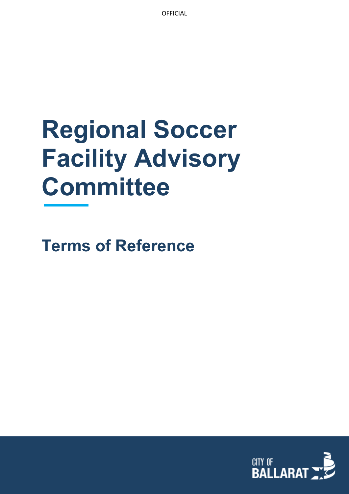**OFFICIAL** 

# **Regional Soccer Facility Advisory Committee**

**Terms of Reference**

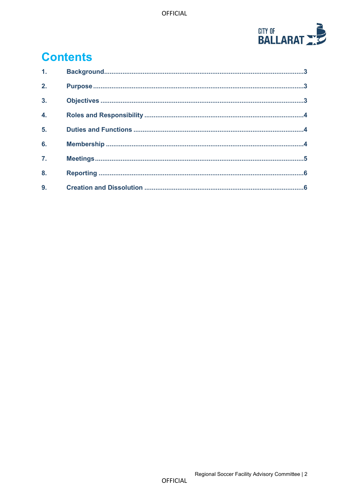

# **Contents**

| 1.               |  |
|------------------|--|
| 2.               |  |
| $\overline{3}$ . |  |
| $\overline{4}$ . |  |
| 5.               |  |
| 6.               |  |
| $\overline{7}$ . |  |
| 8.               |  |
| 9.               |  |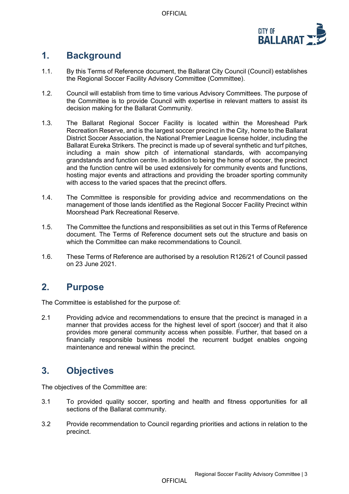OFFICIAL



# <span id="page-2-0"></span>**1. Background**

- 1.1. By this Terms of Reference document, the Ballarat City Council (Council) establishes the Regional Soccer Facility Advisory Committee (Committee).
- 1.2. Council will establish from time to time various Advisory Committees. The purpose of the Committee is to provide Council with expertise in relevant matters to assist its decision making for the Ballarat Community.
- 1.3. The Ballarat Regional Soccer Facility is located within the Moreshead Park Recreation Reserve, and is the largest soccer precinct in the City, home to the Ballarat District Soccer Association, the National Premier League license holder, including the Ballarat Eureka Strikers. The precinct is made up of several synthetic and turf pitches, including a main show pitch of international standards, with accompanying grandstands and function centre. In addition to being the home of soccer, the precinct and the function centre will be used extensively for community events and functions, hosting major events and attractions and providing the broader sporting community with access to the varied spaces that the precinct offers.
- 1.4. The Committee is responsible for providing advice and recommendations on the management of those lands identified as the Regional Soccer Facility Precinct within Moorshead Park Recreational Reserve.
- 1.5. The Committee the functions and responsibilities as set out in this Terms of Reference document. The Terms of Reference document sets out the structure and basis on which the Committee can make recommendations to Council.
- 1.6. These Terms of Reference are authorised by a resolution R126/21 of Council passed on 23 June 2021.

# <span id="page-2-1"></span>**2. Purpose**

The Committee is established for the purpose of:

2.1 Providing advice and recommendations to ensure that the precinct is managed in a manner that provides access for the highest level of sport (soccer) and that it also provides more general community access when possible. Further, that based on a financially responsible business model the recurrent budget enables ongoing maintenance and renewal within the precinct.

# <span id="page-2-2"></span>**3. Objectives**

The objectives of the Committee are:

- 3.1 To provided quality soccer, sporting and health and fitness opportunities for all sections of the Ballarat community.
- 3.2 Provide recommendation to Council regarding priorities and actions in relation to the precinct.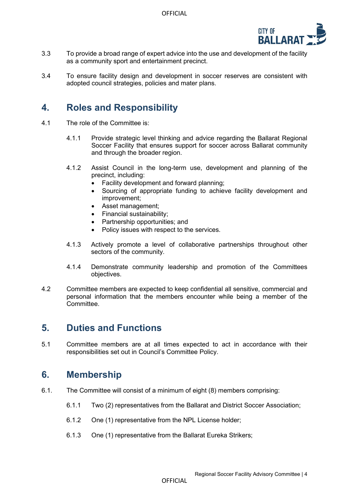

- 3.3 To provide a broad range of expert advice into the use and development of the facility as a community sport and entertainment precinct.
- <span id="page-3-0"></span>3.4 To ensure facility design and development in soccer reserves are consistent with adopted council strategies, policies and mater plans.

#### **4. Roles and Responsibility**

- 4.1 The role of the Committee is:
	- 4.1.1 Provide strategic level thinking and advice regarding the Ballarat Regional Soccer Facility that ensures support for soccer across Ballarat community and through the broader region.
	- 4.1.2 Assist Council in the long-term use, development and planning of the precinct, including:
		- Facility development and forward planning;
		- Sourcing of appropriate funding to achieve facility development and improvement;
		- Asset management;
		- Financial sustainability;
		- Partnership opportunities; and
		- Policy issues with respect to the services.
	- 4.1.3 Actively promote a level of collaborative partnerships throughout other sectors of the community.
	- 4.1.4 Demonstrate community leadership and promotion of the Committees objectives.
- 4.2 Committee members are expected to keep confidential all sensitive, commercial and personal information that the members encounter while being a member of the **Committee.**

#### <span id="page-3-1"></span>**5. Duties and Functions**

5.1 Committee members are at all times expected to act in accordance with their responsibilities set out in Council's Committee Policy.

#### <span id="page-3-2"></span>**6. Membership**

- 6.1. The Committee will consist of a minimum of eight (8) members comprising:
	- 6.1.1 Two (2) representatives from the Ballarat and District Soccer Association;
	- 6.1.2 One (1) representative from the NPL License holder;
	- 6.1.3 One (1) representative from the Ballarat Eureka Strikers;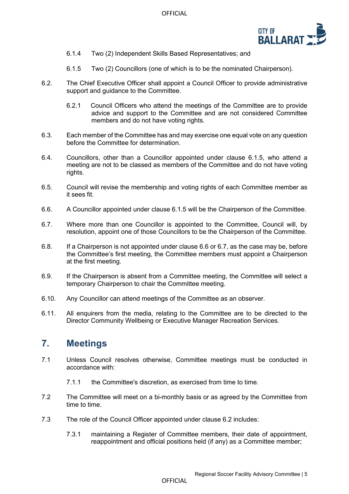

- 6.1.4 Two (2) Independent Skills Based Representatives; and
- 6.1.5 Two (2) Councillors (one of which is to be the nominated Chairperson).
- 6.2. The Chief Executive Officer shall appoint a Council Officer to provide administrative support and guidance to the Committee.
	- 6.2.1 Council Officers who attend the meetings of the Committee are to provide advice and support to the Committee and are not considered Committee members and do not have voting rights.
- 6.3. Each member of the Committee has and may exercise one equal vote on any question before the Committee for determination.
- 6.4. Councillors, other than a Councillor appointed under clause 6.1.5, who attend a meeting are not to be classed as members of the Committee and do not have voting rights.
- 6.5. Council will revise the membership and voting rights of each Committee member as it sees fit.
- 6.6. A Councillor appointed under clause 6.1.5 will be the Chairperson of the Committee.
- 6.7. Where more than one Councillor is appointed to the Committee, Council will, by resolution, appoint one of those Councillors to be the Chairperson of the Committee.
- 6.8. If a Chairperson is not appointed under clause 6.6 or 6.7, as the case may be, before the Committee's first meeting, the Committee members must appoint a Chairperson at the first meeting.
- 6.9. If the Chairperson is absent from a Committee meeting, the Committee will select a temporary Chairperson to chair the Committee meeting.
- 6.10. Any Councillor can attend meetings of the Committee as an observer.
- 6.11. All enquirers from the media, relating to the Committee are to be directed to the Director Community Wellbeing or Executive Manager Recreation Services.

#### <span id="page-4-0"></span>**7. Meetings**

- 7.1 Unless Council resolves otherwise, Committee meetings must be conducted in accordance with:
	- 7.1.1 the Committee's discretion, as exercised from time to time.
- 7.2 The Committee will meet on a bi-monthly basis or as agreed by the Committee from time to time.
- 7.3 The role of the Council Officer appointed under clause 6.2 includes:
	- 7.3.1 maintaining a Register of Committee members, their date of appointment, reappointment and official positions held (if any) as a Committee member;